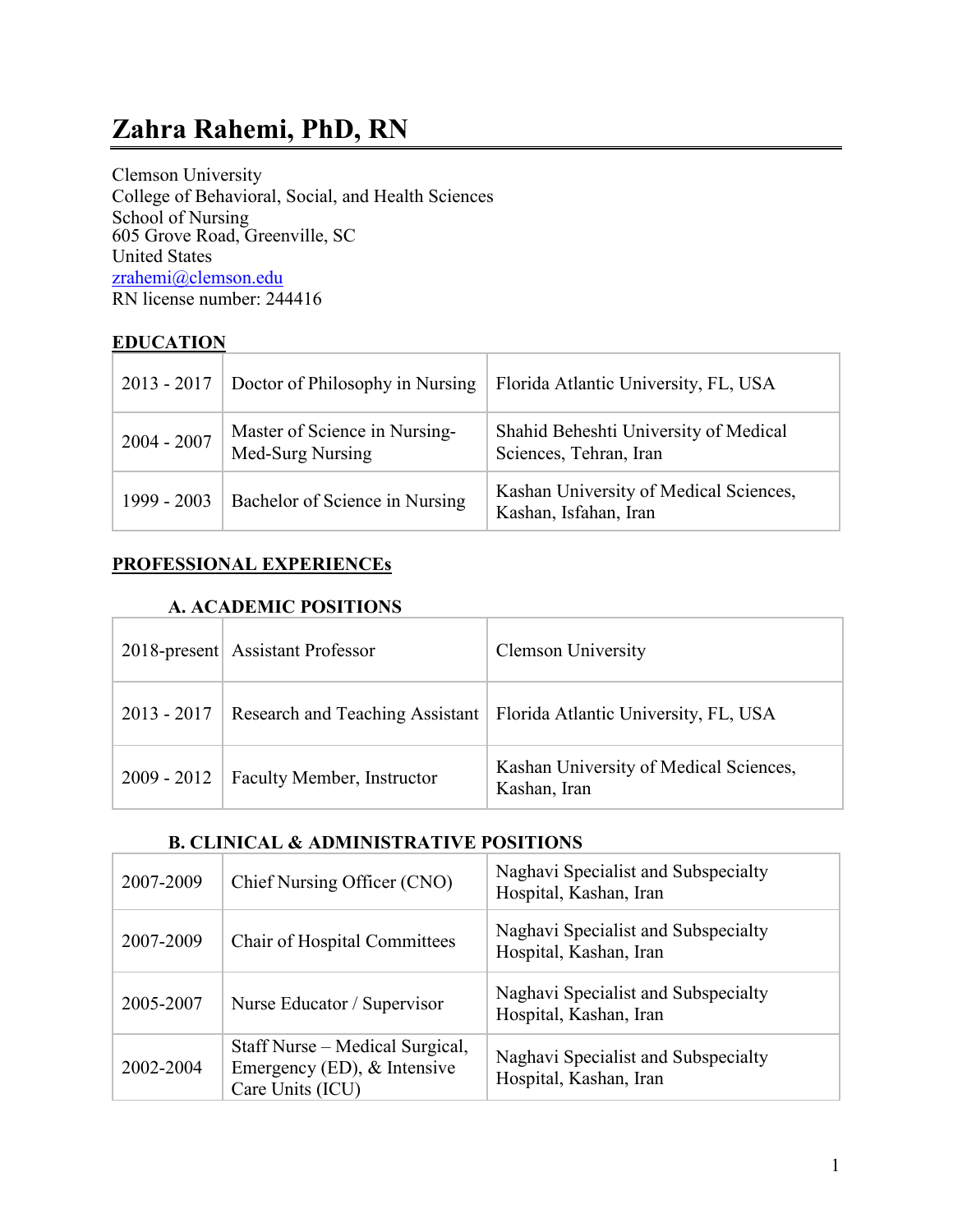Clemson University College of Behavioral, Social, and Health Sciences School of Nursing 605 Grove Road, Greenville, SC United States [zrahemi@clemson.edu](mailto:zrahemi@clemson.edu) RN license number: 244416

### **EDUCATION**

| $2013 - 2017$ | Doctor of Philosophy in Nursing                   | Florida Atlantic University, FL, USA                            |
|---------------|---------------------------------------------------|-----------------------------------------------------------------|
| $2004 - 2007$ | Master of Science in Nursing-<br>Med-Surg Nursing | Shahid Beheshti University of Medical<br>Sciences, Tehran, Iran |
| 1999 - 2003   | Bachelor of Science in Nursing                    | Kashan University of Medical Sciences,<br>Kashan, Isfahan, Iran |

### **PROFESSIONAL EXPERIENCEs**

#### **A. ACADEMIC POSITIONS**

|               | 2018-present Assistant Professor | <b>Clemson University</b>                                              |
|---------------|----------------------------------|------------------------------------------------------------------------|
| $2013 - 2017$ |                                  | Research and Teaching Assistant   Florida Atlantic University, FL, USA |
| $2009 - 2012$ | Faculty Member, Instructor       | Kashan University of Medical Sciences,<br>Kashan, Iran                 |

### **B. CLINICAL & ADMINISTRATIVE POSITIONS**

| 2007-2009 | Chief Nursing Officer (CNO)                                                        | Naghavi Specialist and Subspecialty<br>Hospital, Kashan, Iran |
|-----------|------------------------------------------------------------------------------------|---------------------------------------------------------------|
| 2007-2009 | Chair of Hospital Committees                                                       | Naghavi Specialist and Subspecialty<br>Hospital, Kashan, Iran |
| 2005-2007 | Nurse Educator / Supervisor                                                        | Naghavi Specialist and Subspecialty<br>Hospital, Kashan, Iran |
| 2002-2004 | Staff Nurse – Medical Surgical,<br>Emergency (ED), & Intensive<br>Care Units (ICU) | Naghavi Specialist and Subspecialty<br>Hospital, Kashan, Iran |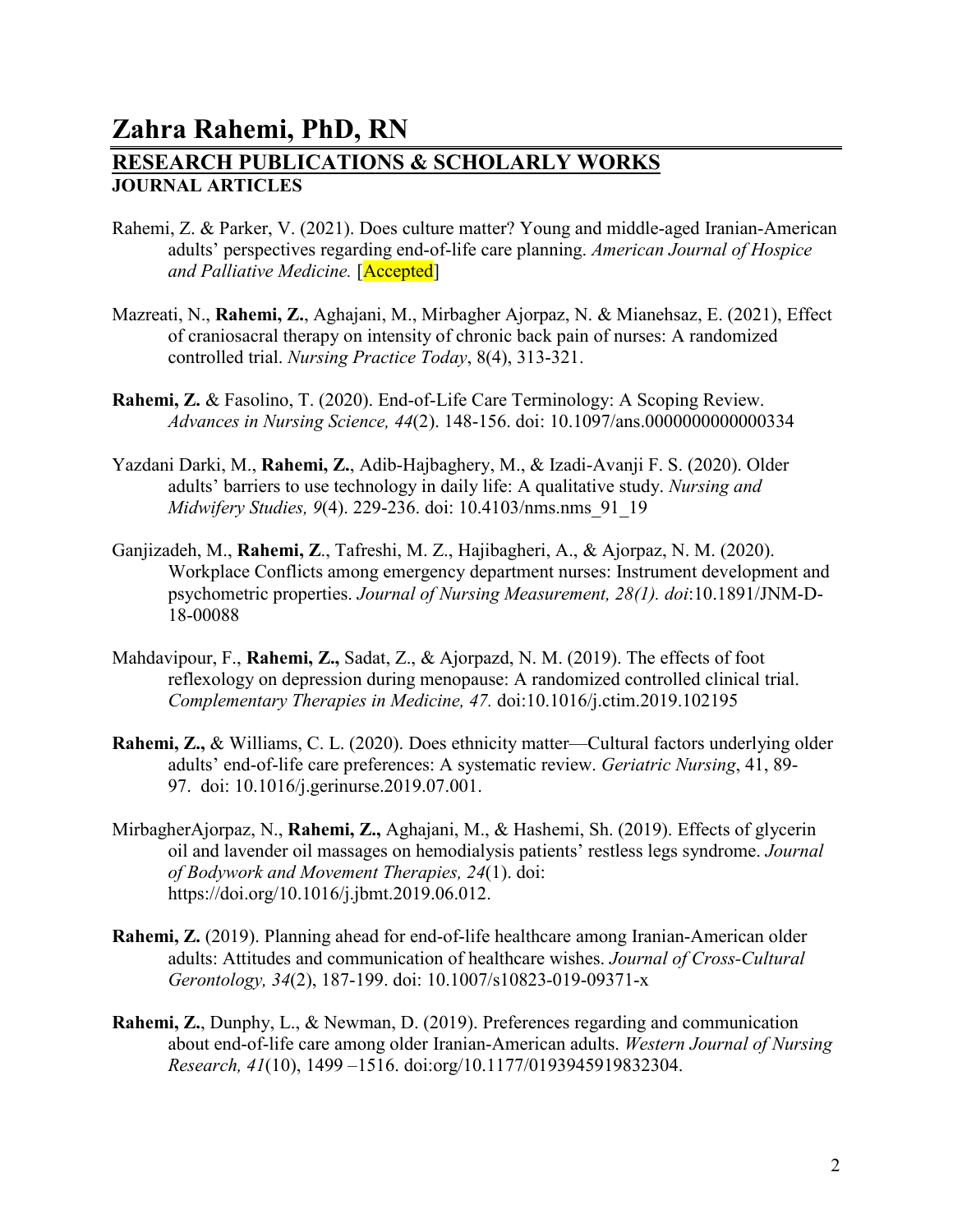## **Zahra Rahemi, PhD, RN RESEARCH PUBLICATIONS & SCHOLARLY WORKS JOURNAL ARTICLES**

- Rahemi, Z. & Parker, V. (2021). Does culture matter? Young and middle-aged Iranian-American adults' perspectives regarding end-of-life care planning. *American Journal of Hospice and Palliative Medicine.* [Accepted]
- Mazreati, N., **Rahemi, Z.**, Aghajani, M., Mirbagher Ajorpaz, N. & Mianehsaz, E. (2021), Effect of craniosacral therapy on intensity of chronic back pain of nurses: A randomized controlled trial. *Nursing Practice Today*, 8(4), 313-321.
- **Rahemi, Z.** & Fasolino, T. (2020). End-of-Life Care Terminology: A Scoping Review. *Advances in Nursing Science, 44*(2). 148-156. doi: 10.1097/ans.0000000000000334
- Yazdani Darki, M., **Rahemi, Z.**, Adib-Hajbaghery, M., & Izadi-Avanji F. S. (2020). Older adults' barriers to use technology in daily life: A qualitative study. *Nursing and Midwifery Studies, 9*(4). 229-236. doi: 10.4103/nms.nms\_91\_19
- Ganjizadeh, M., **Rahemi, Z**., Tafreshi, M. Z., Hajibagheri, A., & Ajorpaz, N. M. (2020). Workplace Conflicts among emergency department nurses: Instrument development and psychometric properties. *Journal of Nursing Measurement, 28(1). doi*:10.1891/JNM-D-18-00088
- Mahdavipour, F., **Rahemi, Z.,** Sadat, Z., & Ajorpazd, N. M. (2019). The effects of foot reflexology on depression during menopause: A randomized controlled clinical trial. *Complementary Therapies in Medicine, 47.* doi[:10.1016/j.ctim.2019.102195](https://doi.org/10.1016/j.ctim.2019.102195)
- **Rahemi, Z.,** & Williams, C. L. (2020). Does ethnicity matter—Cultural factors underlying older adults' end-of-life care preferences: A systematic review. *Geriatric Nursing*, 41, 89- 97. doi: 10.1016/j.gerinurse.2019.07.001.
- MirbagherAjorpaz, N., **Rahemi, Z.,** Aghajani, M., & Hashemi, Sh. (2019). Effects of glycerin oil and lavender oil massages on hemodialysis patients' restless legs syndrome. *Journal of Bodywork and Movement Therapies, 24*(1). doi: https://doi.org/10.1016/j.jbmt.2019.06.012.
- **Rahemi, Z.** (2019). Planning ahead for end-of-life healthcare among Iranian-American older adults: Attitudes and communication of healthcare wishes. *Journal of Cross-Cultural Gerontology, 34*(2), 187-199. doi: 10.1007/s10823-019-09371-x
- **Rahemi, Z.**, Dunphy, L., & Newman, D. (2019). Preferences regarding and communication about end-of-life care among older Iranian-American adults. *Western Journal of Nursing Research, 41*(10), 1499 –1516. doi:org/10.1177/0193945919832304.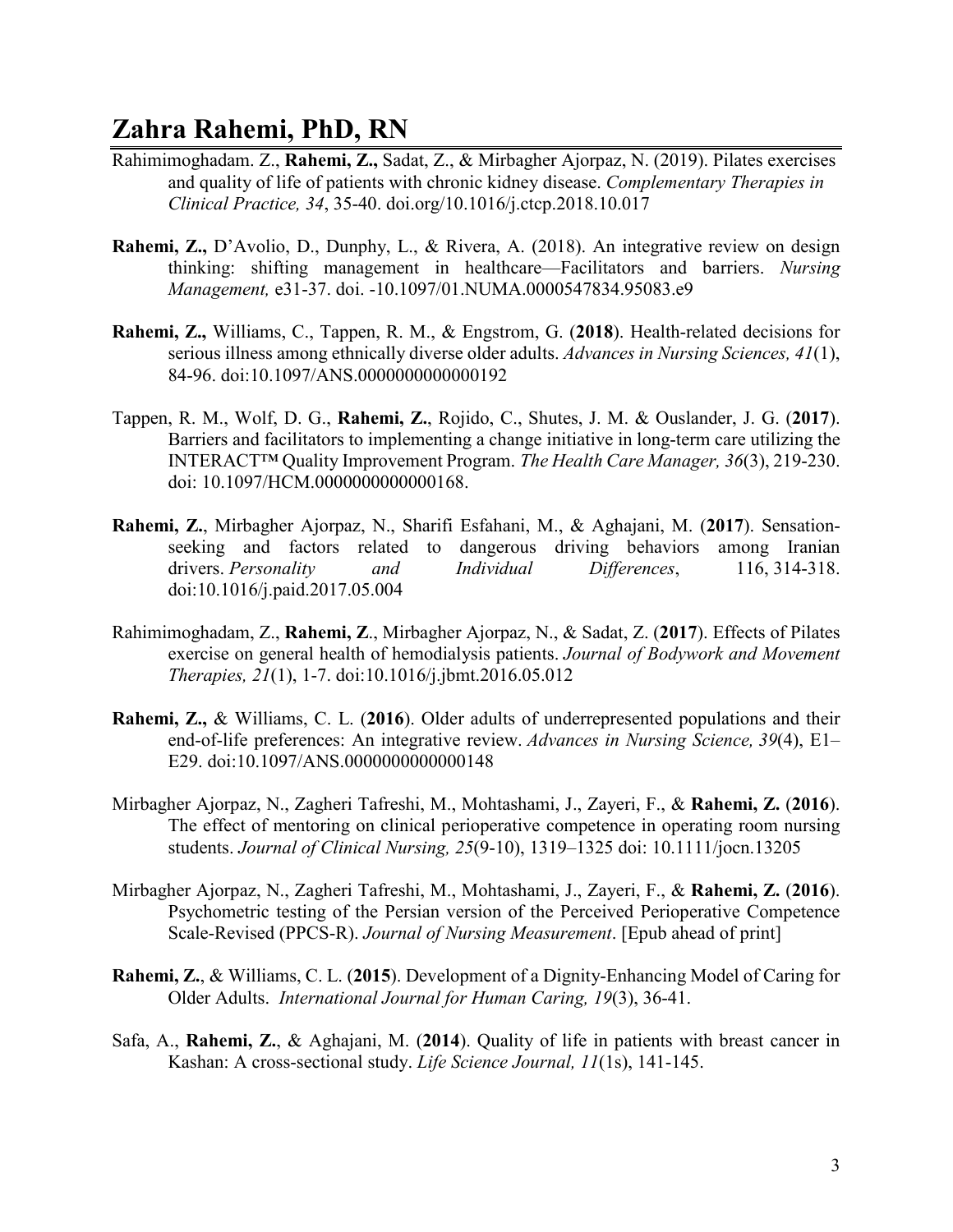- Rahimimoghadam. Z., **Rahemi, Z.,** Sadat, Z., & Mirbagher Ajorpaz, N. (2019). Pilates exercises and quality of life of patients with chronic kidney disease. *Complementary Therapies in Clinical Practice, 34*, 35-40. doi.org/10.1016/j.ctcp.2018.10.017
- **Rahemi, Z.,** D'Avolio, D., Dunphy, L., & Rivera, A. (2018). An integrative review on design thinking: shifting management in healthcare—Facilitators and barriers. *Nursing Management,* e31-37. doi. -10.1097/01.NUMA.0000547834.95083.e9
- **Rahemi, Z.,** Williams, C., Tappen, R. M., & Engstrom, G. (**2018**). Health-related decisions for serious illness among ethnically diverse older adults. *Advances in Nursing Sciences, 41*(1), 84-96. doi[:10.1097/ANS.0000000000000192](https://doi.org/10.1097/ANS.0000000000000192)
- Tappen, R. M., Wolf, D. G., **Rahemi, Z.**, Rojido, C., Shutes, J. M. & Ouslander, J. G. (**2017**). Barriers and facilitators to implementing a change initiative in long-term care utilizing the INTERACT™ Quality Improvement Program. *The Health Care Manager, 36*(3), 219-230. doi: 10.1097/HCM.0000000000000168.
- **Rahemi, Z.**, Mirbagher Ajorpaz, N., Sharifi Esfahani, M., & Aghajani, M. (**2017**). Sensationseeking and factors related to dangerous driving behaviors among Iranian drivers. *Personality and Individual Differences*, 116, 314-318. doi:10.1016/j.paid.2017.05.004
- Rahimimoghadam, Z., **Rahemi, Z**., Mirbagher Ajorpaz, N., & Sadat, Z. (**2017**). Effects of Pilates exercise on general health of hemodialysis patients. *Journal of Bodywork and Movement Therapies, 21*(1), 1-7. doi:10.1016/j.jbmt.2016.05.012
- **Rahemi, Z.,** & Williams, C. L. (**2016**). Older adults of underrepresented populations and their end-of-life preferences: An integrative review. *Advances in Nursing Science, 39*(4), E1– E29. doi:10.1097/ANS.0000000000000148
- Mirbagher Ajorpaz, N., Zagheri Tafreshi, M., Mohtashami, J., Zayeri, F., & **Rahemi, Z.** (**2016**). The effect of mentoring on clinical perioperative competence in operating room nursing students. *Journal of Clinical Nursing, 25*(9-10), 1319–1325 doi: 10.1111/jocn.13205
- Mirbagher Ajorpaz, N., Zagheri Tafreshi, M., Mohtashami, J., Zayeri, F., & **Rahemi, Z.** (**2016**). Psychometric testing of the Persian version of the Perceived Perioperative Competence Scale-Revised (PPCS-R). *Journal of Nursing Measurement*. [Epub ahead of print]
- **Rahemi, Z.**, & Williams, C. L. (**2015**). Development of a Dignity-Enhancing Model of Caring for Older Adults. *International Journal for Human Caring, 19*(3), 36-41.
- Safa, A., **Rahemi, Z.**, & Aghajani, M. (**2014**). Quality of life in patients with breast cancer in Kashan: A cross-sectional study. *Life Science Journal, 11*(1s), 141-145.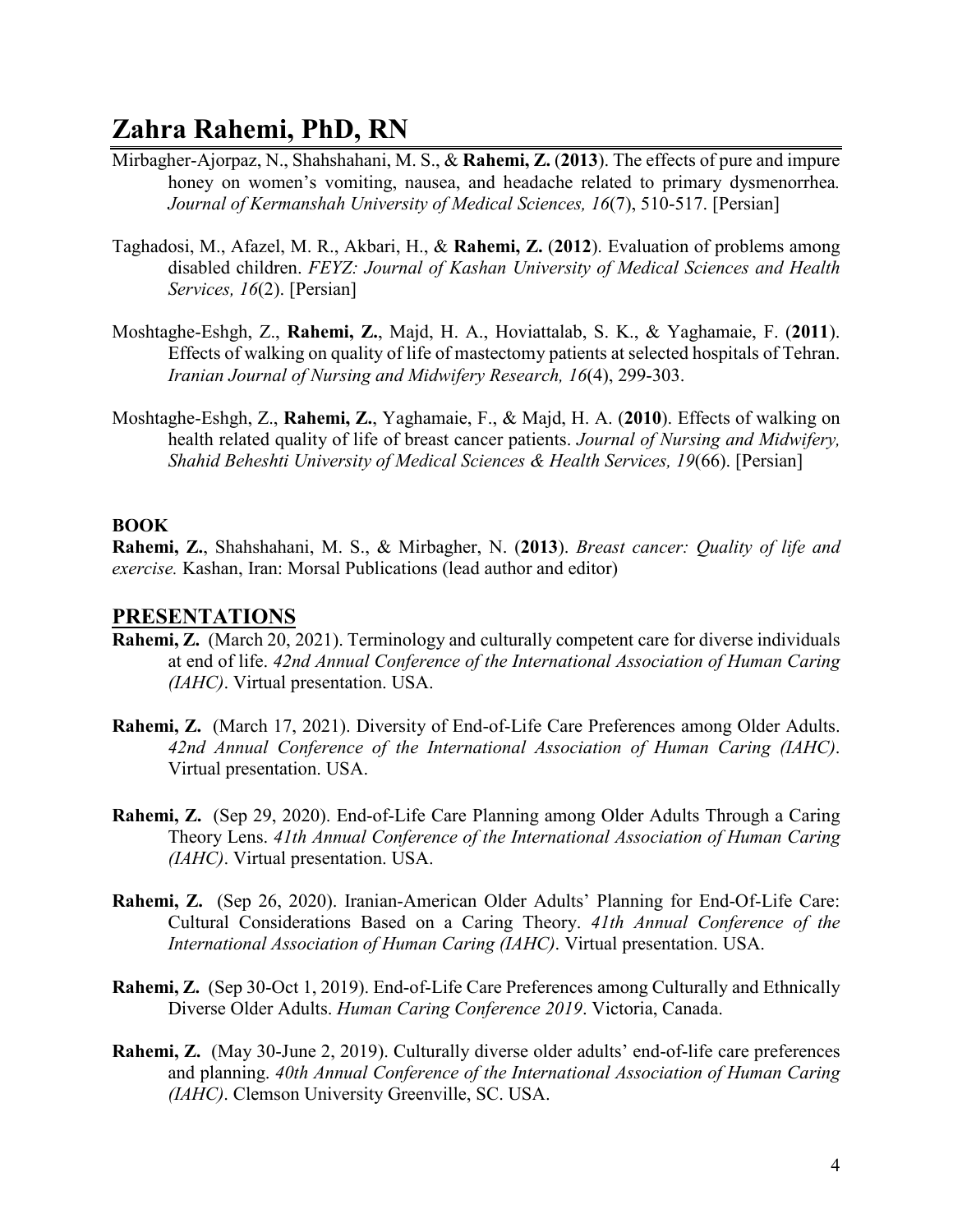- Mirbagher-Ajorpaz, N., Shahshahani, M. S., & **Rahemi, Z.** (**2013**). The effects of pure and impure honey on women's vomiting, nausea, and headache related to primary dysmenorrhea*. Journal of Kermanshah University of Medical Sciences, 16*(7), 510-517. [Persian]
- Taghadosi, M., Afazel, M. R., Akbari, H., & **Rahemi, Z.** (**2012**). Evaluation of problems among disabled children. *FEYZ: Journal of Kashan University of Medical Sciences and Health Services, 16*(2). [Persian]
- Moshtaghe-Eshgh, Z., **Rahemi, Z.**, Majd, H. A., Hoviattalab, S. K., & Yaghamaie, F. (**2011**). Effects of walking on quality of life of mastectomy patients at selected hospitals of Tehran. *Iranian Journal of Nursing and Midwifery Research, 16*(4), 299-303.
- Moshtaghe-Eshgh, Z., **Rahemi, Z.**, Yaghamaie, F., & Majd, H. A. (**2010**). Effects of walking on health related quality of life of breast cancer patients. *Journal of Nursing and Midwifery, Shahid Beheshti University of Medical Sciences & Health Services, 19*(66). [Persian]

#### **BOOK**

**Rahemi, Z.**, Shahshahani, M. S., & Mirbagher, N. (**2013**). *Breast cancer: Quality of life and exercise.* Kashan, Iran: Morsal Publications (lead author and editor)

#### **PRESENTATIONS**

- **Rahemi, Z.** (March 20, 2021). Terminology and culturally competent care for diverse individuals at end of life. *42nd Annual Conference of the International Association of Human Caring (IAHC)*. Virtual presentation. USA.
- **Rahemi, Z.** (March 17, 2021). Diversity of End-of-Life Care Preferences among Older Adults. *42nd Annual Conference of the International Association of Human Caring (IAHC)*. Virtual presentation. USA.
- **Rahemi, Z.** (Sep 29, 2020). End-of-Life Care Planning among Older Adults Through a Caring Theory Lens. *41th Annual Conference of the International Association of Human Caring (IAHC)*. Virtual presentation. USA.
- **Rahemi, Z.** (Sep 26, 2020). Iranian-American Older Adults' Planning for End-Of-Life Care: Cultural Considerations Based on a Caring Theory. *41th Annual Conference of the International Association of Human Caring (IAHC)*. Virtual presentation. USA.
- **Rahemi, Z.** (Sep 30-Oct 1, 2019). End-of-Life Care Preferences among Culturally and Ethnically Diverse Older Adults. *Human Caring Conference 2019*. Victoria, Canada.
- **Rahemi, Z.** (May 30-June 2, 2019). Culturally diverse older adults' end-of-life care preferences and planning. *40th Annual Conference of the International Association of Human Caring (IAHC)*. Clemson University Greenville, SC. USA.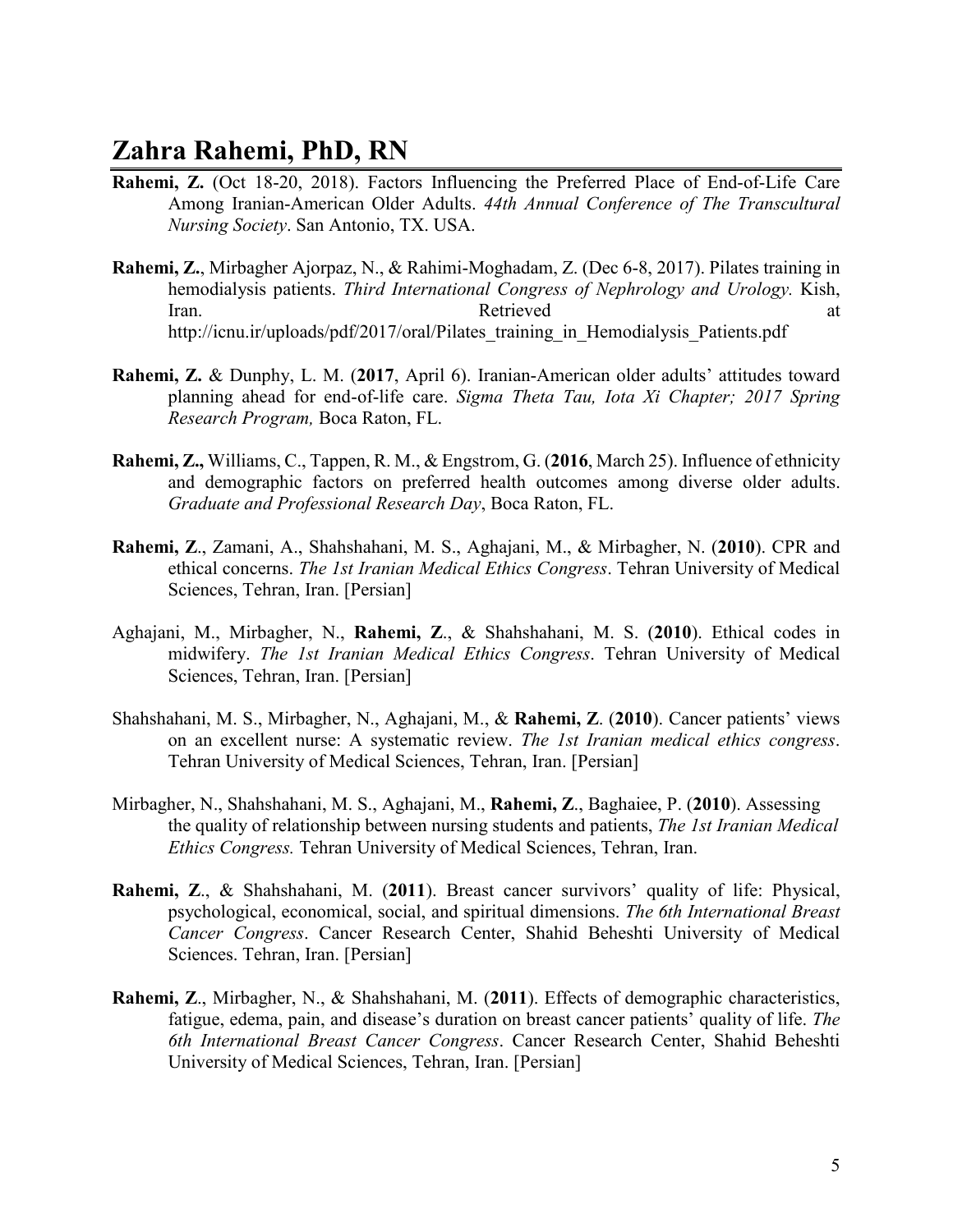- **Rahemi, Z.** (Oct 18-20, 2018). Factors Influencing the Preferred Place of End-of-Life Care Among Iranian-American Older Adults. *44th Annual Conference of The Transcultural Nursing Society*. San Antonio, TX. USA.
- **Rahemi, Z.**, Mirbagher Ajorpaz, N., & Rahimi-Moghadam, Z. (Dec 6-8, 2017). Pilates training in hemodialysis patients. *Third International Congress of Nephrology and Urology.* Kish, Iran. Retrieved at http://icnu.ir/uploads/pdf/2017/oral/Pilates training in Hemodialysis Patients.pdf
- **Rahemi, Z.** & Dunphy, L. M. (**2017**, April 6). Iranian-American older adults' attitudes toward planning ahead for end-of-life care. *Sigma Theta Tau, Iota Xi Chapter; 2017 Spring Research Program,* Boca Raton, FL.
- **Rahemi, Z.,** Williams, C., Tappen, R. M., & Engstrom, G. (**2016**, March 25). Influence of ethnicity and demographic factors on preferred health outcomes among diverse older adults. *Graduate and Professional Research Day*, Boca Raton, FL.
- **Rahemi, Z**., Zamani, A., Shahshahani, M. S., Aghajani, M., & Mirbagher, N. (**2010**). CPR and ethical concerns. *The 1st Iranian Medical Ethics Congress*. Tehran University of Medical Sciences, Tehran, Iran. [Persian]
- Aghajani, M., Mirbagher, N., **Rahemi, Z**., & Shahshahani, M. S. (**2010**). Ethical codes in midwifery. *The 1st Iranian Medical Ethics Congress*. Tehran University of Medical Sciences, Tehran, Iran. [Persian]
- Shahshahani, M. S., Mirbagher, N., Aghajani, M., & **Rahemi, Z**. (**2010**). Cancer patients' views on an excellent nurse: A systematic review. *The 1st Iranian medical ethics congress*. Tehran University of Medical Sciences, Tehran, Iran. [Persian]
- Mirbagher, N., Shahshahani, M. S., Aghajani, M., **Rahemi, Z**., Baghaiee, P. (**2010**). Assessing the quality of relationship between nursing students and patients, *The 1st Iranian Medical Ethics Congress.* Tehran University of Medical Sciences, Tehran, Iran.
- **Rahemi, Z**., & Shahshahani, M. (**2011**). Breast cancer survivors' quality of life: Physical, psychological, economical, social, and spiritual dimensions. *The 6th International Breast Cancer Congress*. Cancer Research Center, Shahid Beheshti University of Medical Sciences. Tehran, Iran. [Persian]
- **Rahemi, Z**., Mirbagher, N., & Shahshahani, M. (**2011**). Effects of demographic characteristics, fatigue, edema, pain, and disease's duration on breast cancer patients' quality of life. *The 6th International Breast Cancer Congress*. Cancer Research Center, Shahid Beheshti University of Medical Sciences, Tehran, Iran. [Persian]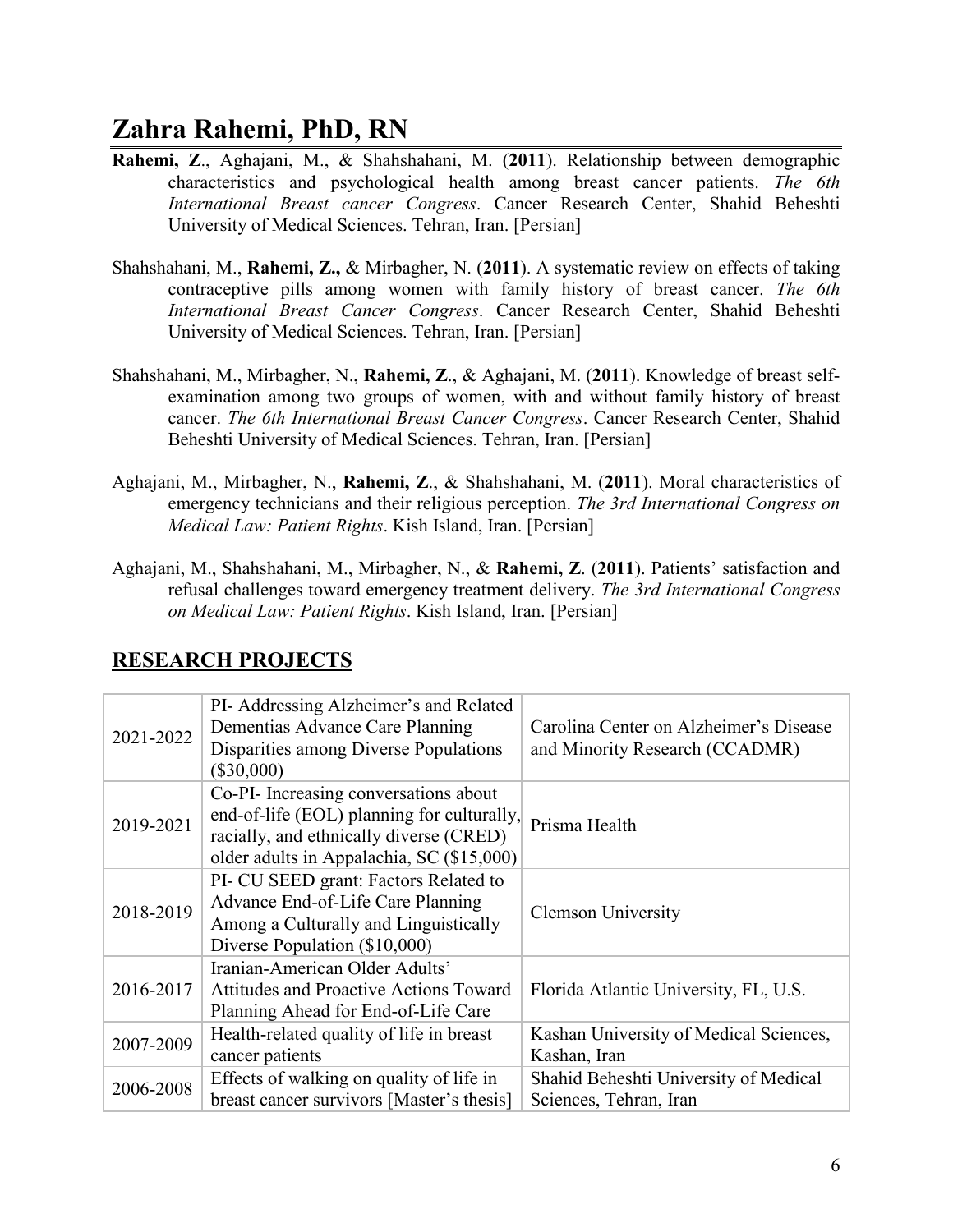- **Rahemi, Z**., Aghajani, M., & Shahshahani, M. (**2011**). Relationship between demographic characteristics and psychological health among breast cancer patients. *The 6th International Breast cancer Congress*. Cancer Research Center, Shahid Beheshti University of Medical Sciences. Tehran, Iran. [Persian]
- Shahshahani, M., **Rahemi, Z.,** & Mirbagher, N. (**2011**). A systematic review on effects of taking contraceptive pills among women with family history of breast cancer. *The 6th International Breast Cancer Congress*. Cancer Research Center, Shahid Beheshti University of Medical Sciences. Tehran, Iran. [Persian]
- Shahshahani, M., Mirbagher, N., **Rahemi, Z**., & Aghajani, M. (**2011**). Knowledge of breast selfexamination among two groups of women, with and without family history of breast cancer. *The 6th International Breast Cancer Congress*. Cancer Research Center, Shahid Beheshti University of Medical Sciences. Tehran, Iran. [Persian]
- Aghajani, M., Mirbagher, N., **Rahemi, Z**., & Shahshahani, M. (**2011**). Moral characteristics of emergency technicians and their religious perception. *The 3rd International Congress on Medical Law: Patient Rights*. Kish Island, Iran. [Persian]
- Aghajani, M., Shahshahani, M., Mirbagher, N., & **Rahemi, Z**. (**2011**). Patients' satisfaction and refusal challenges toward emergency treatment delivery. *The 3rd International Congress on Medical Law: Patient Rights*. Kish Island, Iran. [Persian]

| 2021-2022 | PI- Addressing Alzheimer's and Related<br>Dementias Advance Care Planning<br>Disparities among Diverse Populations<br>$(\$30,000)$                                          | Carolina Center on Alzheimer's Disease<br>and Minority Research (CCADMR) |
|-----------|-----------------------------------------------------------------------------------------------------------------------------------------------------------------------------|--------------------------------------------------------------------------|
| 2019-2021 | Co-PI- Increasing conversations about<br>end-of-life (EOL) planning for culturally,<br>racially, and ethnically diverse (CRED)<br>older adults in Appalachia, SC (\$15,000) | Prisma Health                                                            |
| 2018-2019 | PI- CU SEED grant: Factors Related to<br>Advance End-of-Life Care Planning<br>Among a Culturally and Linguistically<br>Diverse Population (\$10,000)                        | <b>Clemson University</b>                                                |
| 2016-2017 | Iranian-American Older Adults'<br><b>Attitudes and Proactive Actions Toward</b><br>Planning Ahead for End-of-Life Care                                                      | Florida Atlantic University, FL, U.S.                                    |
| 2007-2009 | Health-related quality of life in breast<br>cancer patients                                                                                                                 | Kashan University of Medical Sciences,<br>Kashan, Iran                   |
| 2006-2008 | Effects of walking on quality of life in<br>breast cancer survivors [Master's thesis]                                                                                       | Shahid Beheshti University of Medical<br>Sciences, Tehran, Iran          |

## **RESEARCH PROJECTS**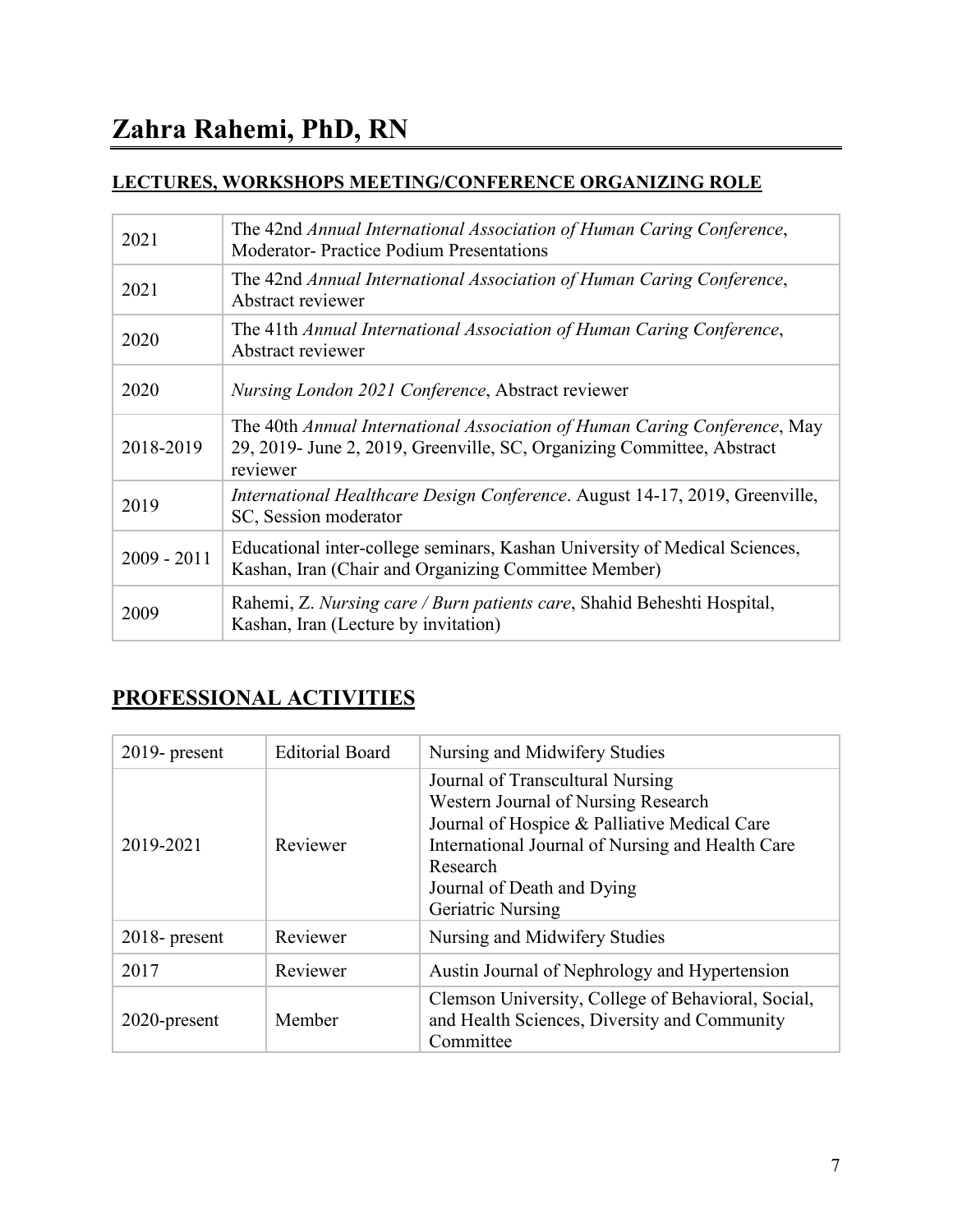### **LECTURES, WORKSHOPS MEETING/CONFERENCE ORGANIZING ROLE**

| 2021          | The 42nd Annual International Association of Human Caring Conference,<br><b>Moderator-Practice Podium Presentations</b>                                         |
|---------------|-----------------------------------------------------------------------------------------------------------------------------------------------------------------|
| 2021          | The 42nd Annual International Association of Human Caring Conference,<br>Abstract reviewer                                                                      |
| 2020          | The 41th Annual International Association of Human Caring Conference,<br>Abstract reviewer                                                                      |
| 2020          | Nursing London 2021 Conference, Abstract reviewer                                                                                                               |
| 2018-2019     | The 40th Annual International Association of Human Caring Conference, May<br>29, 2019- June 2, 2019, Greenville, SC, Organizing Committee, Abstract<br>reviewer |
| 2019          | International Healthcare Design Conference. August 14-17, 2019, Greenville,<br>SC, Session moderator                                                            |
| $2009 - 2011$ | Educational inter-college seminars, Kashan University of Medical Sciences,<br>Kashan, Iran (Chair and Organizing Committee Member)                              |
| 2009          | Rahemi, Z. Nursing care / Burn patients care, Shahid Beheshti Hospital,<br>Kashan, Iran (Lecture by invitation)                                                 |

## **PROFESSIONAL ACTIVITIES**

| $2019$ - present | <b>Editorial Board</b> | Nursing and Midwifery Studies                                                                                                                                                                                                              |
|------------------|------------------------|--------------------------------------------------------------------------------------------------------------------------------------------------------------------------------------------------------------------------------------------|
| 2019-2021        | Reviewer               | Journal of Transcultural Nursing<br>Western Journal of Nursing Research<br>Journal of Hospice & Palliative Medical Care<br>International Journal of Nursing and Health Care<br>Research<br>Journal of Death and Dying<br>Geriatric Nursing |
| $2018$ - present | Reviewer               | Nursing and Midwifery Studies                                                                                                                                                                                                              |
| 2017             | Reviewer               | Austin Journal of Nephrology and Hypertension                                                                                                                                                                                              |
| 2020-present     | Member                 | Clemson University, College of Behavioral, Social,<br>and Health Sciences, Diversity and Community<br>Committee                                                                                                                            |